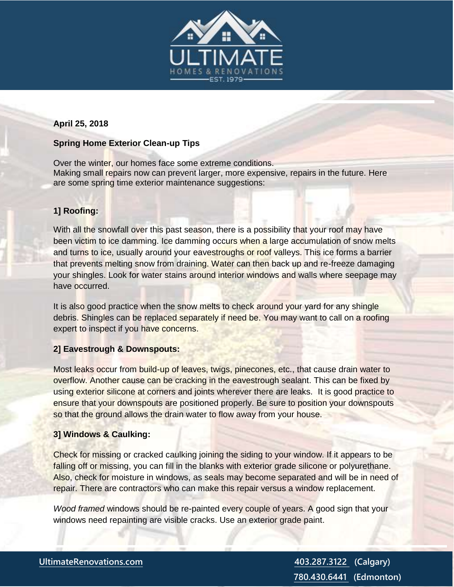

## **April 25, 2018**

## **Spring Home Exterior Clean-up Tips**

Over the winter, our homes face some extreme conditions. Making small repairs now can prevent larger, more expensive, repairs in the future. Here are some spring time exterior maintenance suggestions:

## **1] Roofing:**

With all the snowfall over this past season, there is a possibility that your roof may have been victim to ice damming. Ice damming occurs when a large accumulation of snow melts and turns to ice, usually around your eavestroughs or roof valleys. This ice forms a barrier that prevents melting snow from draining. Water can then back up and re-freeze damaging your shingles. Look for water stains around interior windows and walls where seepage may have occurred.

It is also good practice when the snow melts to check around your yard for any shingle debris. Shingles can be replaced separately if need be. You may want to call on a roofing expert to inspect if you have concerns.

### **2] Eavestrough & Downspouts:**

Most leaks occur from build-up of leaves, twigs, pinecones, etc., that cause drain water to overflow. Another cause can be cracking in the eavestrough sealant. This can be fixed by using exterior silicone at corners and joints wherever there are leaks. It is good practice to ensure that your downspouts are positioned properly. Be sure to position your downspouts so that the ground allows the drain water to flow away from your house.

### **3] Windows & Caulking:**

Check for missing or cracked caulking joining the siding to your window. If it appears to be falling off or missing, you can fill in the blanks with exterior grade silicone or polyurethane. Also, check for moisture in windows, as seals may become separated and will be in need of repair. There are contractors who can make this repair versus a window replacement.

*Wood framed* windows should be re-painted every couple of years. A good sign that your windows need repainting are visible cracks. Use an exterior grade paint.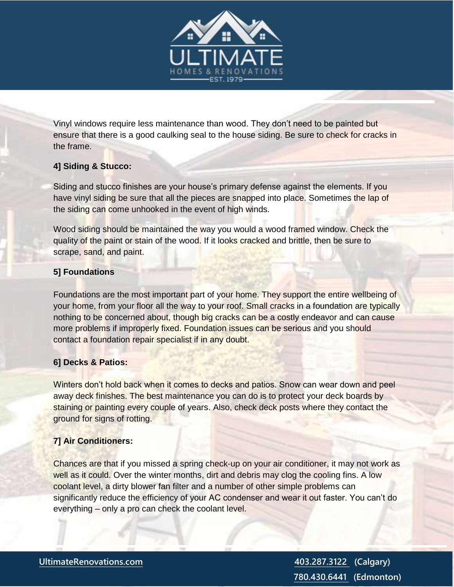

Vinyl windows require less maintenance than wood. They don't need to be painted but ensure that there is a good caulking seal to the house siding. Be sure to check for cracks in the frame.

# **4] Siding & Stucco:**

Siding and stucco finishes are your house's primary defense against the elements. If you have vinyl siding be sure that all the pieces are snapped into place. Sometimes the lap of the siding can come unhooked in the event of high winds.

Wood siding should be maintained the way you would a wood framed window. Check the quality of the paint or stain of the wood. If it looks cracked and brittle, then be sure to scrape, sand, and paint.

# **5] Foundations**

Foundations are the most important part of your home. They support the entire wellbeing of your home, from your floor all the way to your roof. Small cracks in a foundation are typically nothing to be concerned about, though big cracks can be a costly endeavor and can cause more problems if improperly fixed. Foundation issues can be serious and you should contact a foundation repair specialist if in any doubt.

# **6] Decks & Patios:**

Winters don't hold back when it comes to decks and patios. Snow can wear down and peel away deck finishes. The best maintenance you can do is to protect your deck boards by staining or painting every couple of years. Also, check deck posts where they contact the ground for signs of rotting.

# **7] Air Conditioners:**

Chances are that if you missed a spring check-up on your air conditioner, it may not work as well as it could. Over the winter months, dirt and debris may clog the cooling fins. A low coolant level, a dirty blower fan filter and a number of other simple problems can significantly reduce the efficiency of your AC condenser and wear it out faster. You can't do everything – only a pro can check the coolant level.